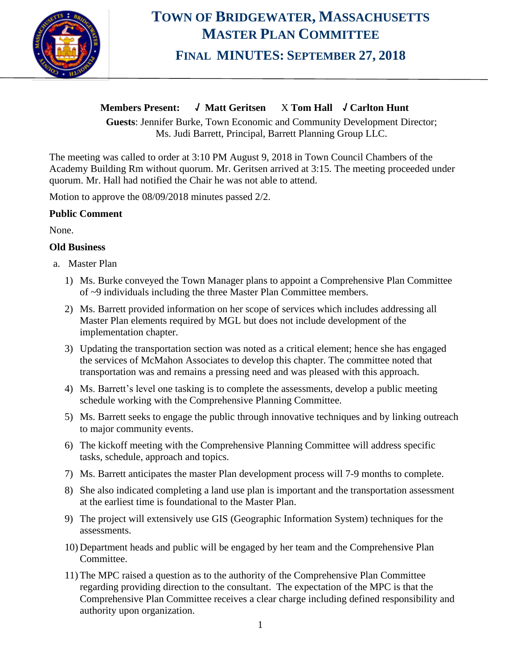

# **TOWN OF BRIDGEWATER, MASSACHUSETTS MASTER PLAN COMMITTEE FINAL MINUTES: SEPTEMBER 27, 2018**

## **Members Present: √ Matt Geritsen** X **Tom Hall √ Carlton Hunt**

**Guests**: Jennifer Burke, Town Economic and Community Development Director; Ms. Judi Barrett, Principal, Barrett Planning Group LLC.

The meeting was called to order at 3:10 PM August 9, 2018 in Town Council Chambers of the Academy Building Rm without quorum. Mr. Geritsen arrived at 3:15. The meeting proceeded under quorum. Mr. Hall had notified the Chair he was not able to attend.

Motion to approve the 08/09/2018 minutes passed 2/2.

### **Public Comment**

None.

### **Old Business**

- a. Master Plan
	- 1) Ms. Burke conveyed the Town Manager plans to appoint a Comprehensive Plan Committee of ~9 individuals including the three Master Plan Committee members.
	- 2) Ms. Barrett provided information on her scope of services which includes addressing all Master Plan elements required by MGL but does not include development of the implementation chapter.
	- 3) Updating the transportation section was noted as a critical element; hence she has engaged the services of McMahon Associates to develop this chapter. The committee noted that transportation was and remains a pressing need and was pleased with this approach.
	- 4) Ms. Barrett's level one tasking is to complete the assessments, develop a public meeting schedule working with the Comprehensive Planning Committee.
	- 5) Ms. Barrett seeks to engage the public through innovative techniques and by linking outreach to major community events.
	- 6) The kickoff meeting with the Comprehensive Planning Committee will address specific tasks, schedule, approach and topics.
	- 7) Ms. Barrett anticipates the master Plan development process will 7-9 months to complete.
	- 8) She also indicated completing a land use plan is important and the transportation assessment at the earliest time is foundational to the Master Plan.
	- 9) The project will extensively use GIS (Geographic Information System) techniques for the assessments.
	- 10) Department heads and public will be engaged by her team and the Comprehensive Plan Committee.
	- 11) The MPC raised a question as to the authority of the Comprehensive Plan Committee regarding providing direction to the consultant. The expectation of the MPC is that the Comprehensive Plan Committee receives a clear charge including defined responsibility and authority upon organization.